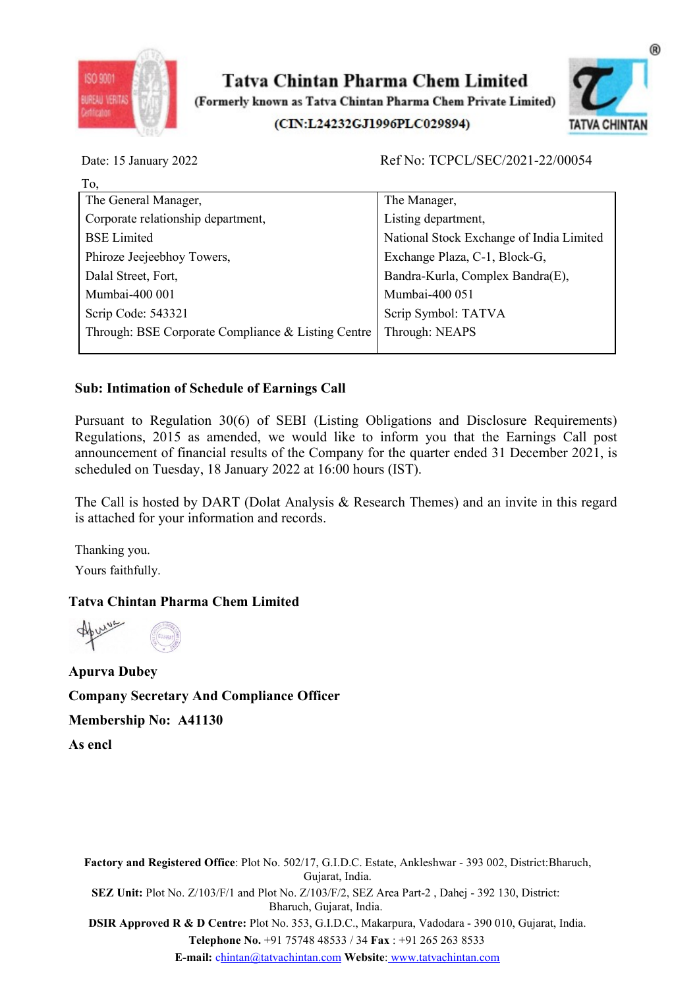



| ISO 9001<br><b>IREAU VERLI</b>           | Tatva Chintan Pharma Chem Limited<br>(Formerly known as Tatva Chintan Pharma Chem Private Limited)<br>(CIN:L24232GJ1996PLC029894)                                                                                                                                                                                                             |                                          | TATVA CHINTAN |
|------------------------------------------|-----------------------------------------------------------------------------------------------------------------------------------------------------------------------------------------------------------------------------------------------------------------------------------------------------------------------------------------------|------------------------------------------|---------------|
| Date: 15 January 2022                    |                                                                                                                                                                                                                                                                                                                                               | Ref No: TCPCL/SEC/2021-22/00054          |               |
| To,                                      |                                                                                                                                                                                                                                                                                                                                               |                                          |               |
| The General Manager,                     |                                                                                                                                                                                                                                                                                                                                               | The Manager,                             |               |
| Corporate relationship department,       |                                                                                                                                                                                                                                                                                                                                               | Listing department,                      |               |
| <b>BSE</b> Limited                       |                                                                                                                                                                                                                                                                                                                                               | National Stock Exchange of India Limited |               |
| Phiroze Jeejeebhoy Towers,               |                                                                                                                                                                                                                                                                                                                                               | Exchange Plaza, C-1, Block-G,            |               |
| Dalal Street, Fort,                      |                                                                                                                                                                                                                                                                                                                                               | Bandra-Kurla, Complex Bandra(E),         |               |
| Mumbai-400 001                           |                                                                                                                                                                                                                                                                                                                                               | Mumbai-400 051                           |               |
| Scrip Code: 543321                       |                                                                                                                                                                                                                                                                                                                                               | Scrip Symbol: TATVA                      |               |
|                                          | Through: BSE Corporate Compliance & Listing Centre                                                                                                                                                                                                                                                                                            | Through: NEAPS                           |               |
|                                          | <b>Sub: Intimation of Schedule of Earnings Call</b>                                                                                                                                                                                                                                                                                           |                                          |               |
|                                          | Pursuant to Regulation 30(6) of SEBI (Listing Obligations and Disclosure Requirements)<br>Regulations, 2015 as amended, we would like to inform you that the Earnings Call post<br>announcement of financial results of the Company for the quarter ended 31 December 2021, is<br>scheduled on Tuesday, 18 January 2022 at 16:00 hours (IST). |                                          |               |
|                                          | The Call is hosted by DART (Dolat Analysis & Research Themes) and an invite in this regard<br>is attached for your information and records.                                                                                                                                                                                                   |                                          |               |
| Thanking you.                            |                                                                                                                                                                                                                                                                                                                                               |                                          |               |
| Yours faithfully.                        |                                                                                                                                                                                                                                                                                                                                               |                                          |               |
| <b>Tatva Chintan Pharma Chem Limited</b> |                                                                                                                                                                                                                                                                                                                                               |                                          |               |
| Apuro                                    |                                                                                                                                                                                                                                                                                                                                               |                                          |               |

Strip Code: 543321<br>
Through: BSE Corporate Compliance & Listing Centre Through: NEAPS<br>
Sub: Intimation of Schedule of Earnings Call<br>
Pursuant to Regulation 30(6) of SEBI (Listing Obligations and Disclosure Requirements)<br> Sub: Intimation of Schedule of Earnings Call<br>
Pursuant to Regulation 30(6) of SEBI (Listing Obligations and Disclo<br>
Regulations, 2015 as amended, we would like to inform you that the<br>
announcement of financial results of Exertainment of Regulation 30 of SEBI (Listing Obligations and Disclosure Requirements)<br>
Presulations, 2015 as amended, we would like to inform you that the Earnings Call post<br>
announcement of financial results of the Comp Pursuant to Regulation 30(6) of SEBI (Listing Obligations and Disclosure Requestions, 2015 as amended, we would like to inform you that the Earnings and<br>nouncement of financial results of the Company for the quarter ended

regulations,  $\frac{1}{2}$  and module can be company for the quarter encompany for the quarter enconducted on Tuesday, 18 January 2022 at 16:00 hours (IST).<br>The Call is hosted by DART (Dolat Analysis & Research Themes) and is

Factory and Registered Office: Plot No. 502/17, G.I.D.C. Estate, Ankleshwar - 393 002, District:Bharuch,<br>
Factory and Registered Office: Plot No. 502/17, G.I.D.C. Estate, Ankleshwar - 393 002, District:Bharuch,<br>
Factory an **Officer**<br>17, G.I.D.C. Estate, Ankleshwar - 393 002, District:Bharuch,<br>Gujarat, India.<br>2/103/F/2, SEZ Area Part-2 , Dahej - 392 130, District:<br>1, Gujarat, India.<br>3, G.I.D.C., Makarpura, Vadodara - 390 010, Gujarat, India.<br> SEZ Unit: Plot No. Z/103/F/1 and Plot No. 302/17, G.I.D.C. Estate, Ankleshwar - 393 002, District: Bharuch,<br>netory and Registered Office: Plot No. 502/17, G.I.D.C. Estate, Ankleshwar - 393 002, District: Bharuch,<br>netory an **ance Officer**<br>Bharuch, G.I.D.C. Estate, Ankleshwar - 393 002, District:Bharuch,<br>Gujarat, India.<br>Bharuch, Gujarat, India.<br>Bharuch, Gujarat, India.<br>No. 335, G.I.D.C., Makarpura, Vadodara - 390 010, Gujarat, India.<br>No. 353, Proved R & D Centre: Plot No. 353, G.I.D.C. Estate, Ankleshwar - 393 002, District: Bharuch,<br>
Sir Approved R & D Centre: Plot No. 502/17, G.I.D.C. Estate, Ankleshwar - 393 002, District: Bharuch,<br>
SEZ Unit: Plot No. 2/103/ And Compliance Officer<br>
41130<br>
ed Office: Plot No. 502/17, G.I.D.C. Estate, Ankleshwar - 393 002, District:Bharuch,<br>
7/103/F/1 and Plot No. 7/103/F/2, SEZ Area Part-2 , Dahej - 392 130, District:<br>
Bharuch, Gujarat, India.<br> E-mail: chintan@tatvachintan.com Website: www.tatvachintan.com